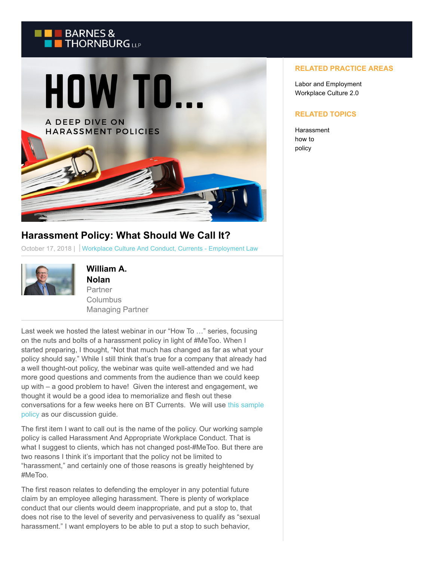

## **Harassment Policy: What Should We Call It?**

October 17, 2018 | Workplace Culture And Conduct, Currents - Employment Law



**William A. Nolan** Partner **Columbus** Managing Partner

Last week we hosted the latest webinar in our "How To …" series, focusing on the nuts and bolts of a harassment policy in light of #MeToo. When I started preparing, I thought, "Not that much has changed as far as what your policy should say." While I still think that's true for a company that already had a well thought-out policy, the webinar was quite well-attended and we had more good questions and comments from the audience than we could keep up with – a good problem to have! Given the interest and engagement, we thought it would be a good idea to memorialize and flesh out these conversations for a few weeks here on BT Currents. We will use [this sample](https://btlaw.com/-/media/files/blog/sample-harassment-policy-for-how-to-webinar.ashx) policy as our discussion guide.

The first item I want to call out is the name of the policy. Our working sample policy is called Harassment And Appropriate Workplace Conduct. That is what I suggest to clients, which has not changed post-#MeToo. But there are two reasons I think it's important that the policy not be limited to "harassment," and certainly one of those reasons is greatly heightened by #MeToo.

The first reason relates to defending the employer in any potential future claim by an employee alleging harassment. There is plenty of workplace conduct that our clients would deem inappropriate, and put a stop to, that does not rise to the level of severity and pervasiveness to qualify as "sexual harassment." I want employers to be able to put a stop to such behavior,

## **RELATED PRACTICE AREAS**

Labor and Employment Workplace Culture 2.0

## **RELATED TOPICS**

**Harassment** how to policy